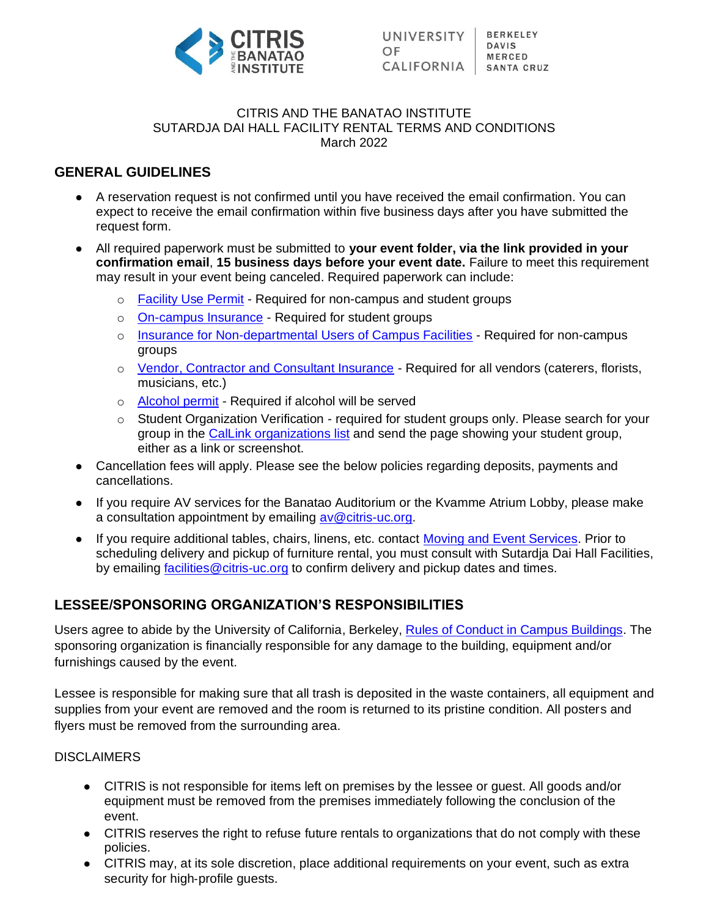

#### CITRIS AND THE BANATAO INSTITUTE SUTARDJA DAI HALL FACILITY RENTAL TERMS AND CONDITIONS March 2022

### **GENERAL GUIDELINES**

- A reservation request is not confirmed until you have received the email confirmation. You can expect to receive the email confirmation within five business days after you have submitted the request form.
- All required paperwork must be submitted to **your event folder, via the link provided in your confirmation email**, **15 business days before your event date.** Failure to meet this requirement may result in your event being canceled. Required paperwork can include:
	- o [Facility Use Permit](https://capitalstrategies.berkeley.edu/sites/default/files/facility-use-permit-online.pdf) Required for non-campus and student groups
	- o [On-campus Insurance](https://riskservices.berkeley.edu/student/events-activities/get-insurance) Required for student groups
	- o [Insurance for Non-departmental Users of Campus Facilities](https://riskservices.berkeley.edu/events-activities/facility-rental) Required for non-campus groups
	- o [Vendor, Contractor and Consultant Insurance](https://riskservices.berkeley.edu/traditional-insurance-risk-services/campus-insurance-programs/vendor-contractor-consultant-insurance) Required for all vendors (caterers, florists, musicians, etc.)
	- o [Alcohol permit](https://ucpd.berkeley.edu/sites/default/files/alcoholpermitrequest.pdf) Required if alcohol will be served
	- $\circ$  Student Organization Verification required for student groups only. Please search for your group in the [CalLink organizations list](https://callink.berkeley.edu/organizations) and send the page showing your student group, either as a link or screenshot.
- Cancellation fees will apply. Please see the below policies regarding deposits, payments and cancellations.
- If you require AV services for the Banatao Auditorium or the Kvamme Atrium Lobby, please make a consultation appointment by emailing [av@citris-uc.org.](mailto:av@citris-uc.org)
- If you require additional tables, chairs, linens, etc. contact [Moving and Event Services.](https://property.berkeley.edu/moving-svcs/how-order-move) Prior to scheduling delivery and pickup of furniture rental, you must consult with Sutardja Dai Hall Facilities, by emailing [facilities@citris-uc.org](mailto:facilities@citris-uc.org) to confirm delivery and pickup dates and times.

## **LESSEE/SPONSORING ORGANIZATION'S RESPONSIBILITIES**

Users agree to abide by the University of California, Berkeley, [Rules of Conduct in Campus Buildings.](https://sa.berkeley.edu/uga/regs) The sponsoring organization is financially responsible for any damage to the building, equipment and/or furnishings caused by the event.

Lessee is responsible for making sure that all trash is deposited in the waste containers, all equipment and supplies from your event are removed and the room is returned to its pristine condition. All posters and flyers must be removed from the surrounding area.

### **DISCLAIMERS**

- CITRIS is not responsible for items left on premises by the lessee or guest. All goods and/or equipment must be removed from the premises immediately following the conclusion of the event.
- CITRIS reserves the right to refuse future rentals to organizations that do not comply with these policies.
- CITRIS may, at its sole discretion, place additional requirements on your event, such as extra security for high-profile quests.